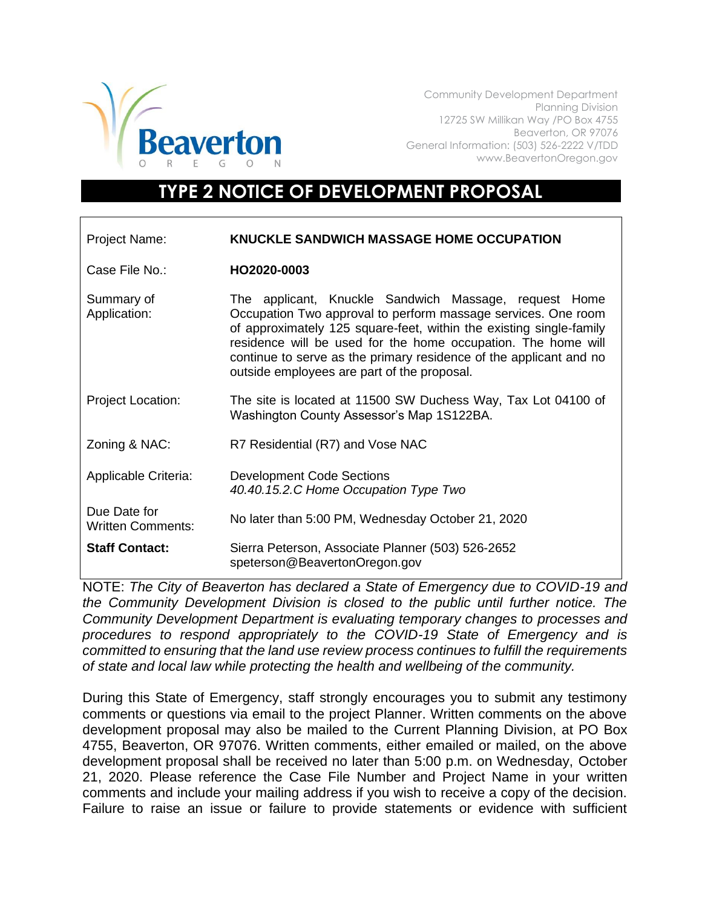

Community Development Department Planning Division 12725 SW Millikan Way /PO Box 4755 Beaverton, OR 97076 General Information: (503) 526-2222 V/TDD www.BeavertonOregon.gov

## **TYPE 2 NOTICE OF DEVELOPMENT PROPOSAL**

| Project Name:                            | KNUCKLE SANDWICH MASSAGE HOME OCCUPATION                                                                                                                                                                                                                                                                                                                                            |
|------------------------------------------|-------------------------------------------------------------------------------------------------------------------------------------------------------------------------------------------------------------------------------------------------------------------------------------------------------------------------------------------------------------------------------------|
| Case File No.:                           | HO2020-0003                                                                                                                                                                                                                                                                                                                                                                         |
| Summary of<br>Application:               | The applicant, Knuckle Sandwich Massage, request Home<br>Occupation Two approval to perform massage services. One room<br>of approximately 125 square-feet, within the existing single-family<br>residence will be used for the home occupation. The home will<br>continue to serve as the primary residence of the applicant and no<br>outside employees are part of the proposal. |
| <b>Project Location:</b>                 | The site is located at 11500 SW Duchess Way, Tax Lot 04100 of<br>Washington County Assessor's Map 1S122BA.                                                                                                                                                                                                                                                                          |
| Zoning & NAC:                            | R7 Residential (R7) and Vose NAC                                                                                                                                                                                                                                                                                                                                                    |
| Applicable Criteria:                     | <b>Development Code Sections</b><br>40.40.15.2.C Home Occupation Type Two                                                                                                                                                                                                                                                                                                           |
| Due Date for<br><b>Written Comments:</b> | No later than 5:00 PM, Wednesday October 21, 2020                                                                                                                                                                                                                                                                                                                                   |
| <b>Staff Contact:</b>                    | Sierra Peterson, Associate Planner (503) 526-2652<br>speterson@BeavertonOregon.gov                                                                                                                                                                                                                                                                                                  |

NOTE: *The City of Beaverton has declared a State of Emergency due to COVID-19 and the Community Development Division is closed to the public until further notice. The Community Development Department is evaluating temporary changes to processes and procedures to respond appropriately to the COVID-19 State of Emergency and is committed to ensuring that the land use review process continues to fulfill the requirements of state and local law while protecting the health and wellbeing of the community.*

During this State of Emergency, staff strongly encourages you to submit any testimony comments or questions via email to the project Planner. Written comments on the above development proposal may also be mailed to the Current Planning Division, at PO Box 4755, Beaverton, OR 97076. Written comments, either emailed or mailed, on the above development proposal shall be received no later than 5:00 p.m. on Wednesday, October 21, 2020. Please reference the Case File Number and Project Name in your written comments and include your mailing address if you wish to receive a copy of the decision. Failure to raise an issue or failure to provide statements or evidence with sufficient